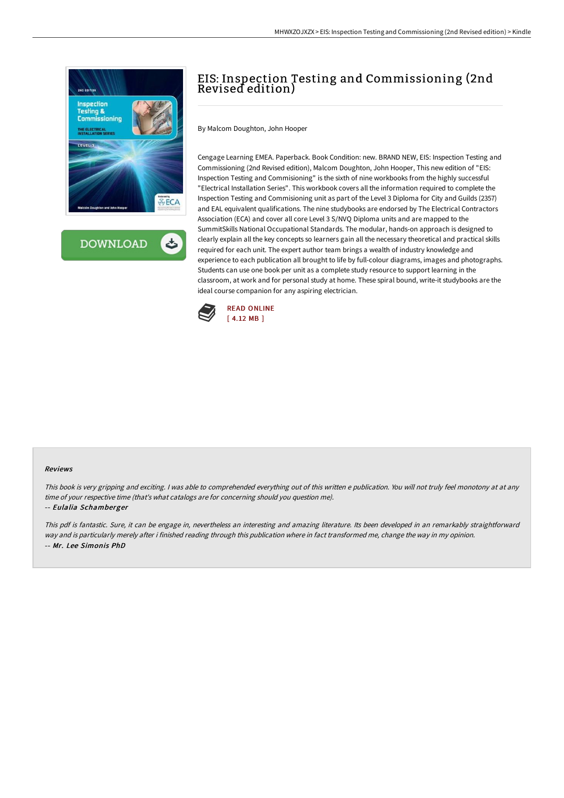

**DOWNLOAD** ٹ

# EIS: Inspection Testing and Commissioning (2nd Revised edition)

By Malcom Doughton, John Hooper

Cengage Learning EMEA. Paperback. Book Condition: new. BRAND NEW, EIS: Inspection Testing and Commissioning (2nd Revised edition), Malcom Doughton, John Hooper, This new edition of "EIS: Inspection Testing and Commisioning" is the sixth of nine workbooks from the highly successful "Electrical Installation Series". This workbook covers all the information required to complete the Inspection Testing and Commisioning unit as part of the Level 3 Diploma for City and Guilds (2357) and EAL equivalent qualifications. The nine studybooks are endorsed by The Electrical Contractors Association (ECA) and cover all core Level 3 S/NVQ Diploma units and are mapped to the SummitSkills National Occupational Standards. The modular, hands-on approach is designed to clearly explain all the key concepts so learners gain all the necessary theoretical and practical skills required for each unit. The expert author team brings a wealth of industry knowledge and experience to each publication all brought to life by full-colour diagrams, images and photographs. Students can use one book per unit as a complete study resource to support learning in the classroom, at work and for personal study at home. These spiral bound, write-it studybooks are the ideal course companion for any aspiring electrician.



#### Reviews

This book is very gripping and exciting. <sup>I</sup> was able to comprehended everything out of this written <sup>e</sup> publication. You will not truly feel monotony at at any time of your respective time (that's what catalogs are for concerning should you question me).

## -- Eulalia Schamberger

This pdf is fantastic. Sure, it can be engage in, nevertheless an interesting and amazing literature. Its been developed in an remarkably straightforward way and is particularly merely after i finished reading through this publication where in fact transformed me, change the way in my opinion. -- Mr. Lee Simonis PhD